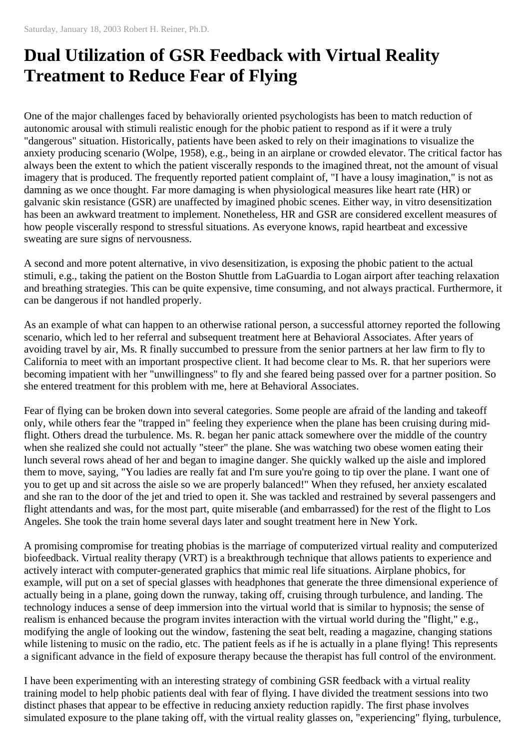## **Dual Utilization of GSR Feedback with Virtual Reality Treatment to Reduce Fear of Flying**

One of the major challenges faced by behaviorally oriented psychologists has been to match reduction of autonomic arousal with stimuli realistic enough for the phobic patient to respond as if it were a truly "dangerous" situation. Historically, patients have been asked to rely on their imaginations to visualize the anxiety producing scenario (Wolpe, 1958), e.g., being in an airplane or crowded elevator. The critical factor has always been the extent to which the patient viscerally responds to the imagined threat, not the amount of visual imagery that is produced. The frequently reported patient complaint of, "I have a lousy imagination," is not as damning as we once thought. Far more damaging is when physiological measures like heart rate (HR) or galvanic skin resistance (GSR) are unaffected by imagined phobic scenes. Either way, in vitro desensitization has been an awkward treatment to implement. Nonetheless, HR and GSR are considered excellent measures of how people viscerally respond to stressful situations. As everyone knows, rapid heartbeat and excessive sweating are sure signs of nervousness.

A second and more potent alternative, in vivo desensitization, is exposing the phobic patient to the actual stimuli, e.g., taking the patient on the Boston Shuttle from LaGuardia to Logan airport after teaching relaxation and breathing strategies. This can be quite expensive, time consuming, and not always practical. Furthermore, it can be dangerous if not handled properly.

As an example of what can happen to an otherwise rational person, a successful attorney reported the following scenario, which led to her referral and subsequent treatment here at Behavioral Associates. After years of avoiding travel by air, Ms. R finally succumbed to pressure from the senior partners at her law firm to fly to California to meet with an important prospective client. It had become clear to Ms. R. that her superiors were becoming impatient with her "unwillingness" to fly and she feared being passed over for a partner position. So she entered treatment for this problem with me, here at Behavioral Associates.

Fear of flying can be broken down into several categories. Some people are afraid of the landing and takeoff only, while others fear the "trapped in" feeling they experience when the plane has been cruising during midflight. Others dread the turbulence. Ms. R. began her panic attack somewhere over the middle of the country when she realized she could not actually "steer" the plane. She was watching two obese women eating their lunch several rows ahead of her and began to imagine danger. She quickly walked up the aisle and implored them to move, saying, "You ladies are really fat and I'm sure you're going to tip over the plane. I want one of you to get up and sit across the aisle so we are properly balanced!" When they refused, her anxiety escalated and she ran to the door of the jet and tried to open it. She was tackled and restrained by several passengers and flight attendants and was, for the most part, quite miserable (and embarrassed) for the rest of the flight to Los Angeles. She took the train home several days later and sought treatment here in New York.

A promising compromise for treating phobias is the marriage of computerized virtual reality and computerized biofeedback. Virtual reality therapy (VRT) is a breakthrough technique that allows patients to experience and actively interact with computer-generated graphics that mimic real life situations. Airplane phobics, for example, will put on a set of special glasses with headphones that generate the three dimensional experience of actually being in a plane, going down the runway, taking off, cruising through turbulence, and landing. The technology induces a sense of deep immersion into the virtual world that is similar to hypnosis; the sense of realism is enhanced because the program invites interaction with the virtual world during the "flight," e.g., modifying the angle of looking out the window, fastening the seat belt, reading a magazine, changing stations while listening to music on the radio, etc. The patient feels as if he is actually in a plane flying! This represents a significant advance in the field of exposure therapy because the therapist has full control of the environment.

I have been experimenting with an interesting strategy of combining GSR feedback with a virtual reality training model to help phobic patients deal with fear of flying. I have divided the treatment sessions into two distinct phases that appear to be effective in reducing anxiety reduction rapidly. The first phase involves simulated exposure to the plane taking off, with the virtual reality glasses on, "experiencing" flying, turbulence,